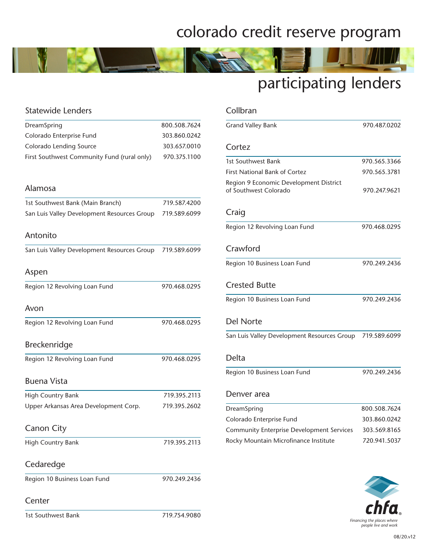### colorado credit reserve program

# participating lenders

| <b>Statewide Lenders</b>                    |              |
|---------------------------------------------|--------------|
| DreamSpring                                 | 800.508.7624 |
| Colorado Enterprise Fund                    | 303.860.0242 |
| Colorado Lending Source                     | 303.657.0010 |
| First Southwest Community Fund (rural only) | 970.375.1100 |
| Alamosa                                     |              |
| 1st Southwest Bank (Main Branch)            | 719.587.4200 |
| San Luis Valley Development Resources Group | 719.589.6099 |
| Antonito                                    |              |
| San Luis Valley Development Resources Group | 719.589.6099 |
| Aspen                                       |              |
| Region 12 Revolving Loan Fund               | 970.468.0295 |
| Avon                                        |              |
| Region 12 Revolving Loan Fund               | 970.468.0295 |
| <b>Breckenridge</b>                         |              |
| Region 12 Revolving Loan Fund               | 970.468.0295 |
| <b>Buena Vista</b>                          |              |
| High Country Bank                           | 719.395.2113 |
| Upper Arkansas Area Development Corp.       | 719.395.2602 |
| <b>Canon City</b>                           |              |
| High Country Bank                           | 719.395.2113 |
| Cedaredge                                   |              |
| Region 10 Business Loan Fund                | 970.249.2436 |
| Center                                      |              |

| 1st Southwest Bank | 719.754.9080 |
|--------------------|--------------|
|                    |              |

| Collbran                                                        |              |
|-----------------------------------------------------------------|--------------|
| <b>Grand Valley Bank</b>                                        | 970.487.0202 |
| Cortez                                                          |              |
| 1st Southwest Bank                                              | 970.565.3366 |
| <b>First National Bank of Cortez</b>                            | 970.565.3781 |
| Region 9 Economic Development District<br>of Southwest Colorado | 970.247.9621 |
| Craig                                                           |              |
| Region 12 Revolving Loan Fund                                   | 970.468.0295 |
| Crawford                                                        |              |
| Region 10 Business Loan Fund                                    | 970.249.2436 |
| <b>Crested Butte</b>                                            |              |
| Region 10 Business Loan Fund                                    | 970.249.2436 |
| <b>Del Norte</b>                                                |              |
| San Luis Valley Development Resources Group                     | 719.589.6099 |
| Delta                                                           |              |
| Region 10 Business Loan Fund                                    | 970.249.2436 |
| Denver area                                                     |              |
| DreamSpring                                                     | 800.508.7624 |
| Colorado Enterprise Fund                                        | 303.860.0242 |
| <b>Community Enterprise Development Services</b>                | 303.569.8165 |
| Rocky Mountain Microfinance Institute                           | 720.941.5037 |
|                                                                 |              |

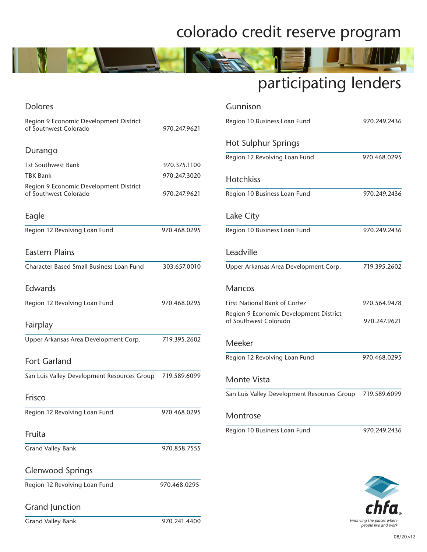### colorado credit reserve program



#### Dolores Region 9 Economic Development District of Southwest Colorado 970.247.9621 Durango 1st Southwest Bank 970.375.1100 TBK Bank 970.247.3020 Region 9 Economic Development District of Southwest Colorado 970.247.9621 Eagle Region 12 Revolving Loan Fund 970.468.0295 Eastern Plains Character Based Small Business Loan Fund 303.657.0010 Edwards Region 12 Revolving Loan Fund 970.468.0295 Fairplay Upper Arkansas Area Development Corp. 719.395.2602 Fort Garland San Luis Valley Development Resources Group 719.589.6099 Frisco Region 12 Revolving Loan Fund 970.468.0295 Fruita Grand Valley Bank 970.858.7555 Glenwood Springs Region 12 Revolving Loan Fund 970.468.0295 Grand Junction

| <b>Grand Valley Bank</b> |  |
|--------------------------|--|

| Gunnison                                                        |              |
|-----------------------------------------------------------------|--------------|
| Region 10 Business Loan Fund                                    | 970.249.2436 |
| Hot Sulphur Springs                                             |              |
| Region 12 Revolving Loan Fund                                   | 970.468.0295 |
| <b>Hotchkiss</b>                                                |              |
| Region 10 Business Loan Fund                                    | 970.249.2436 |
| Lake City                                                       |              |
| Region 10 Business Loan Fund                                    | 970.249.2436 |
| Leadville                                                       |              |
| Upper Arkansas Area Development Corp.                           | 719.395.2602 |
| <b>Mancos</b>                                                   |              |
| <b>First National Bank of Cortez</b>                            | 970.564.9478 |
| Region 9 Economic Development District<br>of Southwest Colorado | 970.247.9621 |
| Meeker                                                          |              |
| Region 12 Revolving Loan Fund                                   | 970.468.0295 |
| <b>Monte Vista</b>                                              |              |
| San Luis Valley Development Resources Group                     | 719.589.6099 |
| Montrose                                                        |              |
| Region 10 Business Loan Fund                                    | 970.249.2436 |
|                                                                 |              |